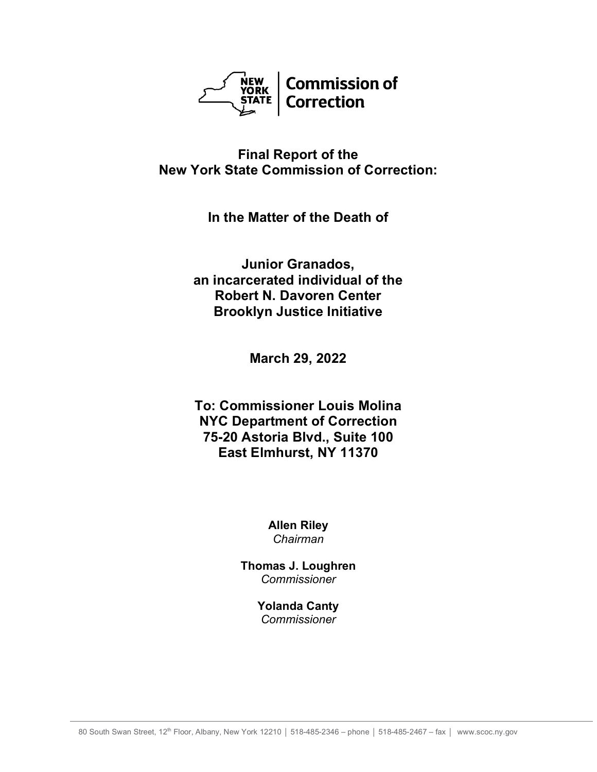

## **Final Report of the New York State Commission of Correction:**

**In the Matter of the Death of**

**Junior Granados, an incarcerated individual of the Robert N. Davoren Center Brooklyn Justice Initiative**

**March 29, 2022**

**To: Commissioner Louis Molina NYC Department of Correction 75-20 Astoria Blvd., Suite 100 East Elmhurst, NY 11370**

> **Allen Riley** *Chairman*

**Thomas J. Loughren** *Commissioner*

> **Yolanda Canty** *Commissioner*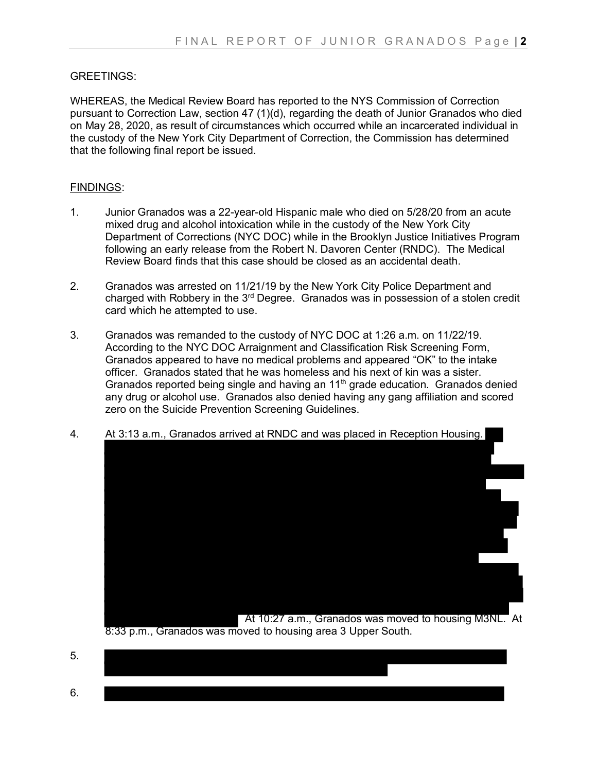## GREETINGS:

WHEREAS, the Medical Review Board has reported to the NYS Commission of Correction pursuant to Correction Law, section 47 (1)(d), regarding the death of Junior Granados who died on May 28, 2020, as result of circumstances which occurred while an incarcerated individual in the custody of the New York City Department of Correction, the Commission has determined that the following final report be issued.

## FINDINGS:

- 1. Junior Granados was a 22-year-old Hispanic male who died on 5/28/20 from an acute mixed drug and alcohol intoxication while in the custody of the New York City Department of Corrections (NYC DOC) while in the Brooklyn Justice Initiatives Program following an early release from the Robert N. Davoren Center (RNDC). The Medical Review Board finds that this case should be closed as an accidental death.
- 2. Granados was arrested on 11/21/19 by the New York City Police Department and charged with Robbery in the  $3<sup>rd</sup>$  Degree. Granados was in possession of a stolen credit card which he attempted to use.
- 3. Granados was remanded to the custody of NYC DOC at 1:26 a.m. on 11/22/19. According to the NYC DOC Arraignment and Classification Risk Screening Form, Granados appeared to have no medical problems and appeared "OK" to the intake officer. Granados stated that he was homeless and his next of kin was a sister. Granados reported being single and having an  $11<sup>th</sup>$  grade education. Granados denied any drug or alcohol use. Granados also denied having any gang affiliation and scored zero on the Suicide Prevention Screening Guidelines.





8:33 p.m., Granados was moved to housing area 3 Upper South.

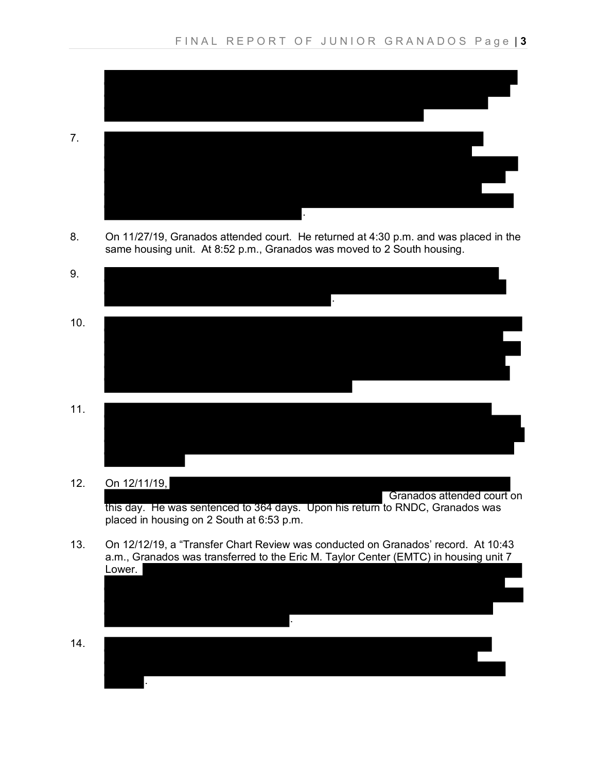

8. On 11/27/19, Granados attended court. He returned at 4:30 p.m. and was placed in the same housing unit. At 8:52 p.m., Granados was moved to 2 South housing.



- 
- 12. On 12/11/19,

 Granados attended court on this day. He was sentenced to 364 days. Upon his return to RNDC, Granados was placed in housing on 2 South at 6:53 p.m.

- 13. On 12/12/19, a "Transfer Chart Review was conducted on Granados' record. At 10:43 a.m., Granados was transferred to the Eric M. Taylor Center (EMTC) in housing unit 7 Lower.
- . 14. .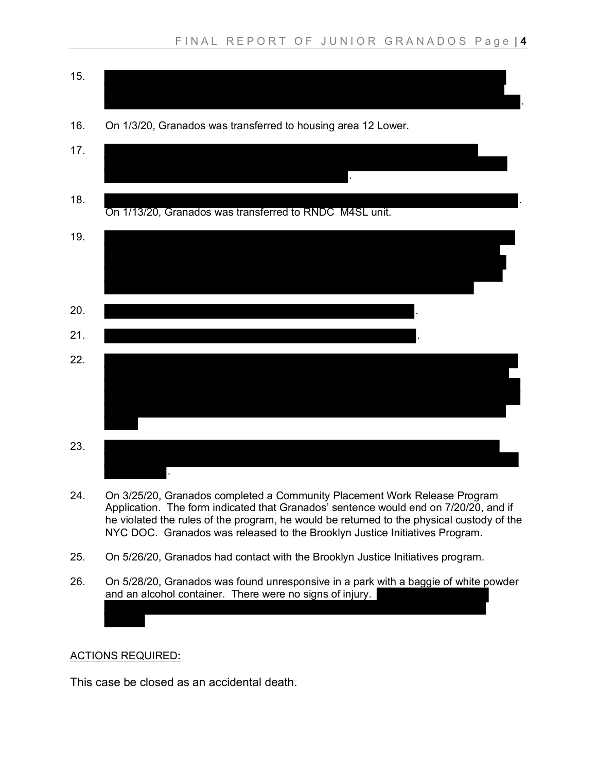

- 24. On 3/25/20, Granados completed a Community Placement Work Release Program Application. The form indicated that Granados' sentence would end on 7/20/20, and if he violated the rules of the program, he would be returned to the physical custody of the NYC DOC. Granados was released to the Brooklyn Justice Initiatives Program.
- 25. On 5/26/20, Granados had contact with the Brooklyn Justice Initiatives program.
- 26. On 5/28/20, Granados was found unresponsive in a park with a baggie of white powder and an alcohol container. There were no signs of injury.

## ACTIONS REQUIRED**:**

Ι

This case be closed as an accidental death.